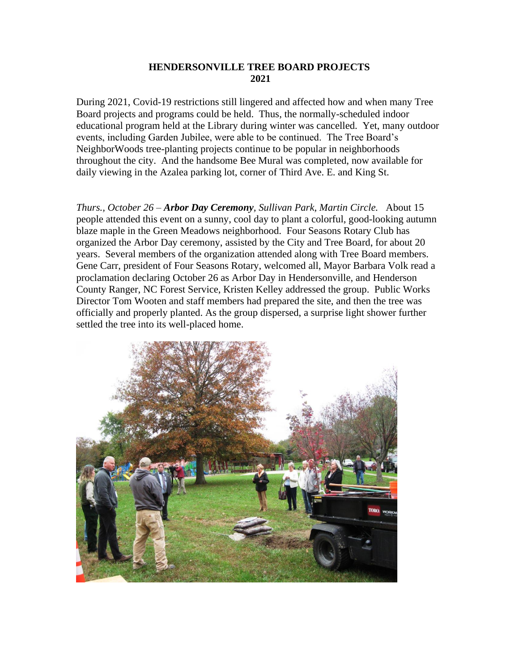## **HENDERSONVILLE TREE BOARD PROJECTS 2021**

During 2021, Covid-19 restrictions still lingered and affected how and when many Tree Board projects and programs could be held. Thus, the normally-scheduled indoor educational program held at the Library during winter was cancelled. Yet, many outdoor events, including Garden Jubilee, were able to be continued. The Tree Board's NeighborWoods tree-planting projects continue to be popular in neighborhoods throughout the city. And the handsome Bee Mural was completed, now available for daily viewing in the Azalea parking lot, corner of Third Ave. E. and King St.

*Thurs., October 26 – Arbor Day Ceremony, Sullivan Park, Martin Circle.* About 15 people attended this event on a sunny, cool day to plant a colorful, good-looking autumn blaze maple in the Green Meadows neighborhood. Four Seasons Rotary Club has organized the Arbor Day ceremony, assisted by the City and Tree Board, for about 20 years. Several members of the organization attended along with Tree Board members. Gene Carr, president of Four Seasons Rotary, welcomed all, Mayor Barbara Volk read a proclamation declaring October 26 as Arbor Day in Hendersonville, and Henderson County Ranger, NC Forest Service, Kristen Kelley addressed the group. Public Works Director Tom Wooten and staff members had prepared the site, and then the tree was officially and properly planted. As the group dispersed, a surprise light shower further settled the tree into its well-placed home.

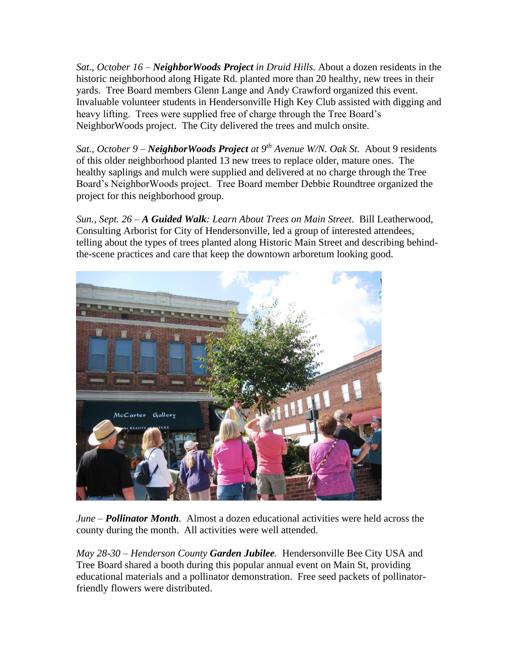*Sat., October 16 – NeighborWoods Project in Druid Hills.* About a dozen residents in the historic neighborhood along Higate Rd. planted more than 20 healthy, new trees in their yards. Tree Board members Glenn Lange and Andy Crawford organized this event. Invaluable volunteer students in Hendersonville High Key Club assisted with digging and heavy lifting. Trees were supplied free of charge through the Tree Board's NeighborWoods project. The City delivered the trees and mulch onsite.

*Sat., October 9 – NeighborWoods Project at 9th Avenue W/N. Oak St.* About 9 residents of this older neighborhood planted 13 new trees to replace older, mature ones. The healthy saplings and mulch were supplied and delivered at no charge through the Tree Board's NeighborWoods project. Tree Board member Debbie Roundtree organized the project for this neighborhood group.

*Sun., Sept. 26 – A Guided Walk: Learn About Trees on Main Street.* Bill Leatherwood, Consulting Arborist for City of Hendersonville, led a group of interested attendees, telling about the types of trees planted along Historic Main Street and describing behindthe-scene practices and care that keep the downtown arboretum looking good.



*June – Pollinator Month.* Almost a dozen educational activities were held across the county during the month. All activities were well attended.

*May 28-30 – Henderson County Garden Jubilee.* Hendersonville Bee City USA and Tree Board shared a booth during this popular annual event on Main St, providing educational materials and a pollinator demonstration. Free seed packets of pollinatorfriendly flowers were distributed.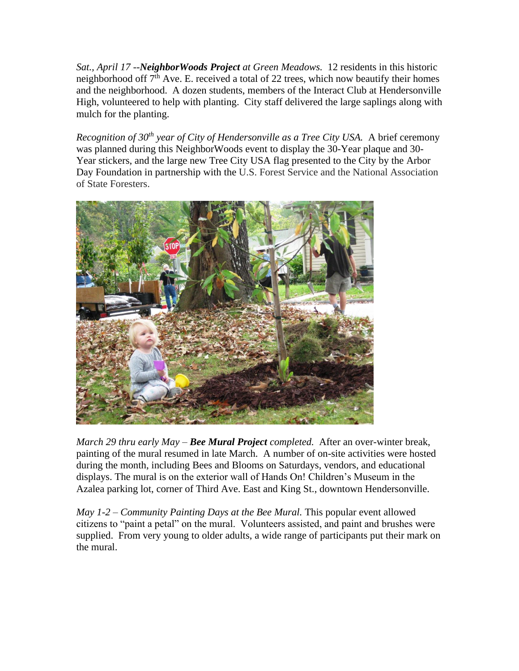*Sat., April 17 --NeighborWoods Project at Green Meadows.* 12 residents in this historic neighborhood off  $7<sup>th</sup>$  Ave. E. received a total of 22 trees, which now beautify their homes and the neighborhood. A dozen students, members of the Interact Club at Hendersonville High, volunteered to help with planting. City staff delivered the large saplings along with mulch for the planting.

*Recognition of 30th year of City of Hendersonville as a Tree City USA.* A brief ceremony was planned during this NeighborWoods event to display the 30-Year plaque and 30- Year stickers, and the large new Tree City USA flag presented to the City by the Arbor Day Foundation in partnership with the U.S. Forest Service and the National Association of State Foresters.



*March 29 thru early May – Bee Mural Project completed.* After an over-winter break, painting of the mural resumed in late March. A number of on-site activities were hosted during the month, including Bees and Blooms on Saturdays, vendors, and educational displays. The mural is on the exterior wall of Hands On! Children's Museum in the Azalea parking lot, corner of Third Ave. East and King St., downtown Hendersonville.

*May 1-2 – Community Painting Days at the Bee Mural.* This popular event allowed citizens to "paint a petal" on the mural. Volunteers assisted, and paint and brushes were supplied. From very young to older adults, a wide range of participants put their mark on the mural.